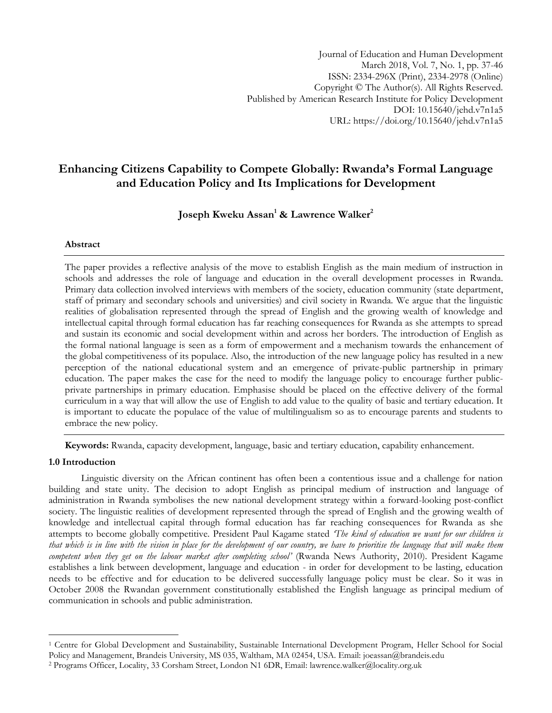# **Enhancing Citizens Capability to Compete Globally: Rwanda's Formal Language and Education Policy and Its Implications for Development**

**Joseph Kweku Assan<sup>1</sup> & Lawrence Walker<sup>2</sup>**

# **Abstract**

The paper provides a reflective analysis of the move to establish English as the main medium of instruction in schools and addresses the role of language and education in the overall development processes in Rwanda. Primary data collection involved interviews with members of the society, education community (state department, staff of primary and secondary schools and universities) and civil society in Rwanda. We argue that the linguistic realities of globalisation represented through the spread of English and the growing wealth of knowledge and intellectual capital through formal education has far reaching consequences for Rwanda as she attempts to spread and sustain its economic and social development within and across her borders. The introduction of English as the formal national language is seen as a form of empowerment and a mechanism towards the enhancement of the global competitiveness of its populace. Also, the introduction of the new language policy has resulted in a new perception of the national educational system and an emergence of private-public partnership in primary education. The paper makes the case for the need to modify the language policy to encourage further publicprivate partnerships in primary education. Emphasise should be placed on the effective delivery of the formal curriculum in a way that will allow the use of English to add value to the quality of basic and tertiary education. It is important to educate the populace of the value of multilingualism so as to encourage parents and students to embrace the new policy.

**Keywords:** Rwanda, capacity development, language, basic and tertiary education, capability enhancement.

# **1.0 Introduction**

l

Linguistic diversity on the African continent has often been a contentious issue and a challenge for nation building and state unity. The decision to adopt English as principal medium of instruction and language of administration in Rwanda symbolises the new national development strategy within a forward-looking post-conflict society. The linguistic realities of development represented through the spread of English and the growing wealth of knowledge and intellectual capital through formal education has far reaching consequences for Rwanda as she attempts to become globally competitive. President Paul Kagame stated *"The kind of education we want for our children is that which is in line with the vision in place for the development of our country, we have to prioritise the language that will make them competent when they get on the labour market after completing school"* (Rwanda News Authority, 2010). President Kagame establishes a link between development, language and education - in order for development to be lasting, education needs to be effective and for education to be delivered successfully language policy must be clear. So it was in October 2008 the Rwandan government constitutionally established the English language as principal medium of communication in schools and public administration.

<sup>1</sup> Centre for Global Development and Sustainability, Sustainable International Development Program, Heller School for Social

Policy and Management, Brandeis University, MS 035, Waltham, MA 02454, USA. Email: [joeassan@brandeis.edu](mailto:joeassan@brandeis.edu)

<sup>2</sup> Programs Officer, Locality, 33 Corsham Street, London N1 6DR, Email: [lawrence.walker@locality.org.uk](mailto:lawrence.walker@locality.org.uk)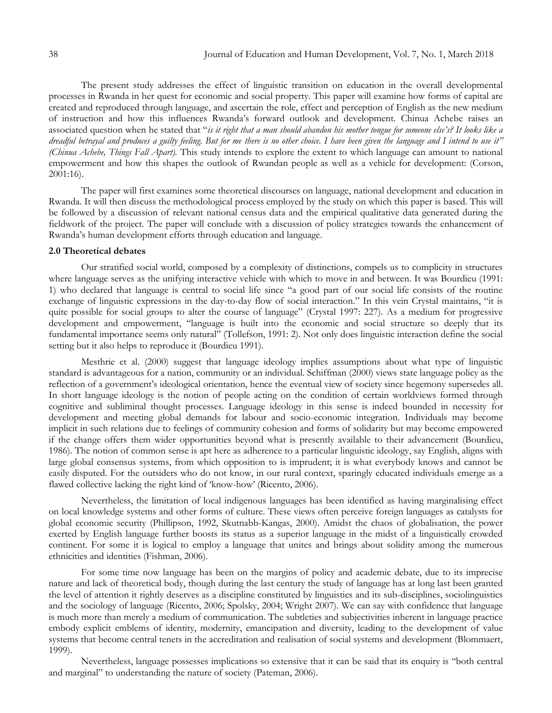The present study addresses the effect of linguistic transition on education in the overall developmental processes in Rwanda in her quest for economic and social property. This paper will examine how forms of capital are created and reproduced through language, and ascertain the role, effect and perception of English as the new medium of instruction and how this influences Rwanda"s forward outlook and development. Chinua Achebe raises an associated question when he stated that "*is it right that a man should abandon his mother tongue for someone else"s? It looks like a dreadful betrayal and produces a guilty feeling. But for me there is no other choice. I have been given the language and I intend to use it" (Chinua Achebe, Things Fall Apart).* This study intends to explore the extent to which language can amount to national empowerment and how this shapes the outlook of Rwandan people as well as a vehicle for development: (Corson, 2001:16).

The paper will first examines some theoretical discourses on language, national development and education in Rwanda. It will then discuss the methodological process employed by the study on which this paper is based. This will be followed by a discussion of relevant national census data and the empirical qualitative data generated during the fieldwork of the project. The paper will conclude with a discussion of policy strategies towards the enhancement of Rwanda"s human development efforts through education and language.

### **2.0 Theoretical debates**

Our stratified social world, composed by a complexity of distinctions, compels us to complicity in structures where language serves as the unifying interactive vehicle with which to move in and between. It was Bourdieu (1991: 1) who declared that language is central to social life since "a good part of our social life consists of the routine exchange of linguistic expressions in the day-to-day flow of social interaction." In this vein Crystal maintains, "it is quite possible for social groups to alter the course of language" (Crystal 1997: 227). As a medium for progressive development and empowerment, "language is built into the economic and social structure so deeply that its fundamental importance seems only natural" (Tollefson, 1991: 2). Not only does linguistic interaction define the social setting but it also helps to reproduce it (Bourdieu 1991).

Mesthrie et al. (2000) suggest that language ideology implies assumptions about what type of linguistic standard is advantageous for a nation, community or an individual. Schiffman (2000) views state language policy as the reflection of a government"s ideological orientation, hence the eventual view of society since hegemony supersedes all. In short language ideology is the notion of people acting on the condition of certain worldviews formed through cognitive and subliminal thought processes. Language ideology in this sense is indeed bounded in necessity for development and meeting global demands for labour and socio-economic integration. Individuals may become implicit in such relations due to feelings of community cohesion and forms of solidarity but may become empowered if the change offers them wider opportunities beyond what is presently available to their advancement (Bourdieu, 1986). The notion of common sense is apt here as adherence to a particular linguistic ideology, say English, aligns with large global consensus systems, from which opposition to is imprudent; it is what everybody knows and cannot be easily disputed. For the outsiders who do not know, in our rural context, sparingly educated individuals emerge as a flawed collective lacking the right kind of 'know-how' (Ricento, 2006).

Nevertheless, the limitation of local indigenous languages has been identified as having marginalising effect on local knowledge systems and other forms of culture. These views often perceive foreign languages as catalysts for global economic security (Phillipson, 1992, Skutnabb-Kangas, 2000). Amidst the chaos of globalisation, the power exerted by English language further boosts its status as a superior language in the midst of a linguistically crowded continent. For some it is logical to employ a language that unites and brings about solidity among the numerous ethnicities and identities (Fishman, 2006).

For some time now language has been on the margins of policy and academic debate, due to its imprecise nature and lack of theoretical body, though during the last century the study of language has at long last been granted the level of attention it rightly deserves as a discipline constituted by linguistics and its sub-disciplines, sociolinguistics and the sociology of language (Ricento, 2006; Spolsky, 2004; Wright 2007). We can say with confidence that language is much more than merely a medium of communication. The subtleties and subjectivities inherent in language practice embody explicit emblems of identity, modernity, emancipation and diversity, leading to the development of value systems that become central tenets in the accreditation and realisation of social systems and development (Blommaert, 1999).

Nevertheless, language possesses implications so extensive that it can be said that its enquiry is "both central and marginal" to understanding the nature of society (Pateman, 2006).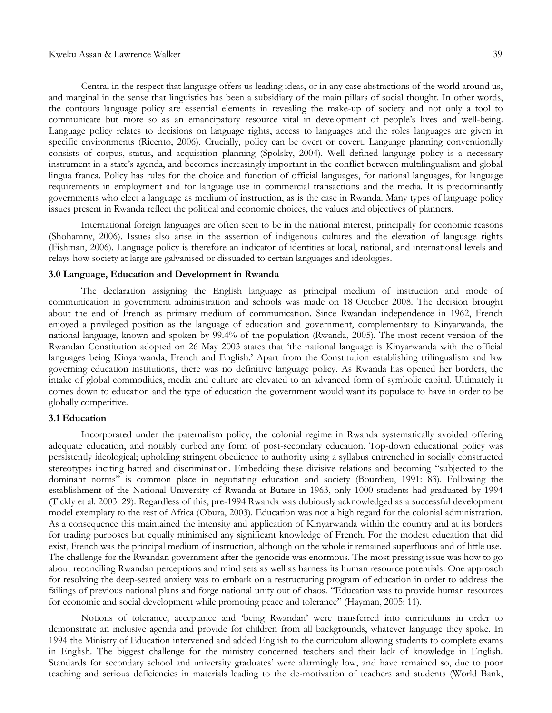Central in the respect that language offers us leading ideas, or in any case abstractions of the world around us, and marginal in the sense that linguistics has been a subsidiary of the main pillars of social thought. In other words, the contours language policy are essential elements in revealing the make-up of society and not only a tool to communicate but more so as an emancipatory resource vital in development of people"s lives and well-being. Language policy relates to decisions on language rights, access to languages and the roles languages are given in specific environments (Ricento, 2006). Crucially, policy can be overt or covert. Language planning conventionally consists of corpus, status, and acquisition planning (Spolsky, 2004). Well defined language policy is a necessary instrument in a state"s agenda, and becomes increasingly important in the conflict between multilingualism and global lingua franca. Policy has rules for the choice and function of official languages, for national languages, for language requirements in employment and for language use in commercial transactions and the media. It is predominantly governments who elect a language as medium of instruction, as is the case in Rwanda. Many types of language policy issues present in Rwanda reflect the political and economic choices, the values and objectives of planners.

International foreign languages are often seen to be in the national interest, principally for economic reasons (Shohamny, 2006). Issues also arise in the assertion of indigenous cultures and the elevation of language rights (Fishman, 2006). Language policy is therefore an indicator of identities at local, national, and international levels and relays how society at large are galvanised or dissuaded to certain languages and ideologies.

## **3.0 Language, Education and Development in Rwanda**

The declaration assigning the English language as principal medium of instruction and mode of communication in government administration and schools was made on 18 October 2008. The decision brought about the end of French as primary medium of communication. Since Rwandan independence in 1962, French enjoyed a privileged position as the language of education and government, complementary to Kinyarwanda, the national language, known and spoken by 99.4% of the population (Rwanda, 2005). The most recent version of the Rwandan Constitution adopted on 26 May 2003 states that "the national language is Kinyarwanda with the official languages being Kinyarwanda, French and English." Apart from the Constitution establishing trilingualism and law governing education institutions, there was no definitive language policy. As Rwanda has opened her borders, the intake of global commodities, media and culture are elevated to an advanced form of symbolic capital. Ultimately it comes down to education and the type of education the government would want its populace to have in order to be globally competitive.

### **3.1 Education**

Incorporated under the paternalism policy, the colonial regime in Rwanda systematically avoided offering adequate education, and notably curbed any form of post-secondary education. Top-down educational policy was persistently ideological; upholding stringent obedience to authority using a syllabus entrenched in socially constructed stereotypes inciting hatred and discrimination. Embedding these divisive relations and becoming "subjected to the dominant norms" is common place in negotiating education and society (Bourdieu, 1991: 83). Following the establishment of the National University of Rwanda at Butare in 1963, only 1000 students had graduated by 1994 (Tickly et al. 2003: 29). Regardless of this, pre-1994 Rwanda was dubiously acknowledged as a successful development model exemplary to the rest of Africa (Obura, 2003). Education was not a high regard for the colonial administration. As a consequence this maintained the intensity and application of Kinyarwanda within the country and at its borders for trading purposes but equally minimised any significant knowledge of French. For the modest education that did exist, French was the principal medium of instruction, although on the whole it remained superfluous and of little use. The challenge for the Rwandan government after the genocide was enormous. The most pressing issue was how to go about reconciling Rwandan perceptions and mind sets as well as harness its human resource potentials. One approach for resolving the deep-seated anxiety was to embark on a restructuring program of education in order to address the failings of previous national plans and forge national unity out of chaos. "Education was to provide human resources for economic and social development while promoting peace and tolerance" (Hayman, 2005: 11).

Notions of tolerance, acceptance and "being Rwandan" were transferred into curriculums in order to demonstrate an inclusive agenda and provide for children from all backgrounds, whatever language they spoke. In 1994 the Ministry of Education intervened and added English to the curriculum allowing students to complete exams in English. The biggest challenge for the ministry concerned teachers and their lack of knowledge in English. Standards for secondary school and university graduates' were alarmingly low, and have remained so, due to poor teaching and serious deficiencies in materials leading to the de-motivation of teachers and students (World Bank,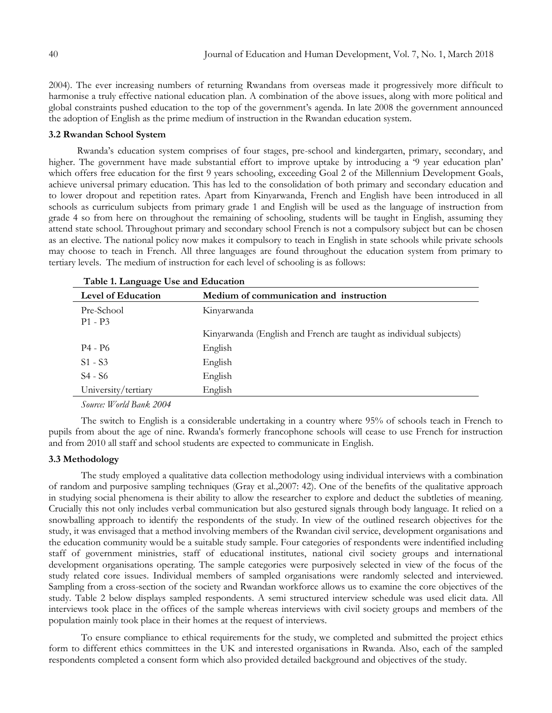2004). The ever increasing numbers of returning Rwandans from overseas made it progressively more difficult to harmonise a truly effective national education plan. A combination of the above issues, along with more political and global constraints pushed education to the top of the government's agenda. In late 2008 the government announced the adoption of English as the prime medium of instruction in the Rwandan education system.

# **3.2 Rwandan School System**

Rwanda"s education system comprises of four stages, pre-school and kindergarten, primary, secondary, and higher. The government have made substantial effort to improve uptake by introducing a '9 year education plan' which offers free education for the first 9 years schooling, exceeding Goal 2 of the Millennium Development Goals, achieve universal primary education. This has led to the consolidation of both primary and secondary education and to lower dropout and repetition rates. Apart from Kinyarwanda, French and English have been introduced in all schools as curriculum subjects from primary grade 1 and English will be used as the language of instruction from grade 4 so from here on throughout the remaining of schooling, students will be taught in English, assuming they attend state school. Throughout primary and secondary school French is not a compulsory subject but can be chosen as an elective. The national policy now makes it compulsory to teach in English in state schools while private schools may choose to teach in French. All three languages are found throughout the education system from primary to tertiary levels. The medium of instruction for each level of schooling is as follows:

| <b>Level of Education</b> | Medium of communication and instruction                            |
|---------------------------|--------------------------------------------------------------------|
| Pre-School<br>$P1 - P3$   | Kinyarwanda                                                        |
|                           | Kinyarwanda (English and French are taught as individual subjects) |
| P4 - P6                   | English                                                            |
| $S1 - S3$                 | English                                                            |
| S4 - S6                   | English                                                            |
| University/tertiary       | English                                                            |

|  | Table 1. Language Use and Education |
|--|-------------------------------------|
|--|-------------------------------------|

*Source: World Bank 2004*

The switch to English is a considerable undertaking in a country where 95% of schools teach in French to pupils from about the age of nine. Rwanda's formerly francophone schools will cease to use French for instruction and from 2010 all staff and school students are expected to communicate in English.

# **3.3 Methodology**

The study employed a qualitative data collection methodology using individual interviews with a combination of random and purposive sampling techniques (Gray et al.,2007: 42). One of the benefits of the qualitative approach in studying social phenomena is their ability to allow the researcher to explore and deduct the subtleties of meaning. Crucially this not only includes verbal communication but also gestured signals through body language. It relied on a snowballing approach to identify the respondents of the study. In view of the outlined research objectives for the study, it was envisaged that a method involving members of the Rwandan civil service, development organisations and the education community would be a suitable study sample. Four categories of respondents were indentified including staff of government ministries, staff of educational institutes, national civil society groups and international development organisations operating. The sample categories were purposively selected in view of the focus of the study related core issues. Individual members of sampled organisations were randomly selected and interviewed. Sampling from a cross-section of the society and Rwandan workforce allows us to examine the core objectives of the study. Table 2 below displays sampled respondents. A semi structured interview schedule was used elicit data. All interviews took place in the offices of the sample whereas interviews with civil society groups and members of the population mainly took place in their homes at the request of interviews.

To ensure compliance to ethical requirements for the study, we completed and submitted the project ethics form to different ethics committees in the UK and interested organisations in Rwanda. Also, each of the sampled respondents completed a consent form which also provided detailed background and objectives of the study.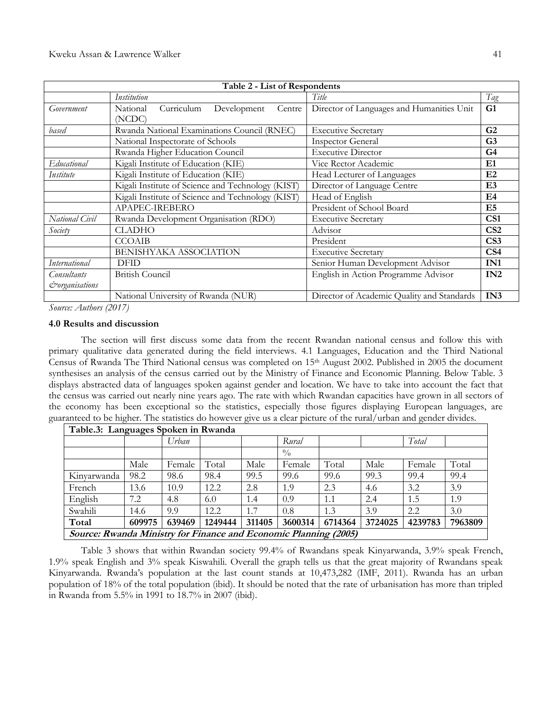|                      | Table 2 - List of Respondents                               |                                            |                 |
|----------------------|-------------------------------------------------------------|--------------------------------------------|-----------------|
|                      | Institution                                                 | Title                                      | Tag             |
| Government           | Curriculum<br>Development<br>National<br>Centre  <br>(NCDC) | Director of Languages and Humanities Unit  | G1              |
| based                | Rwanda National Examinations Council (RNEC)                 | <b>Executive Secretary</b>                 | G <sub>2</sub>  |
|                      | National Inspectorate of Schools                            | <b>Inspector General</b>                   | G <sub>3</sub>  |
|                      | Rwanda Higher Education Council                             | <b>Executive Director</b>                  | G <sub>4</sub>  |
| Educational          | Kigali Institute of Education (KIE)                         | Vice Rector Academic                       | E1              |
| Institute            | Kigali Institute of Education (KIE)                         | Head Lecturer of Languages                 | E2              |
|                      | Kigali Institute of Science and Technology (KIST)           | Director of Language Centre                | E <sub>3</sub>  |
|                      | Kigali Institute of Science and Technology (KIST)           | Head of English                            | E4              |
|                      | APAPEC-IREBERO                                              | President of School Board                  | E5              |
| National Civil       | Rwanda Development Organisation (RDO)                       | <b>Executive Secretary</b>                 | CS <sub>1</sub> |
| Society              | <b>CLADHO</b>                                               | Advisor                                    | CS <sub>2</sub> |
|                      | <b>CCOAIB</b>                                               | President                                  | CS <sub>3</sub> |
|                      | <b>BENISHYAKA ASSOCIATION</b>                               | <b>Executive Secretary</b>                 | CS <sub>4</sub> |
| <b>International</b> | <b>DFID</b>                                                 | Senior Human Development Advisor           | IN1             |
| Consultants          | <b>British Council</b>                                      | English in Action Programme Advisor        | IN <sub>2</sub> |
| corganisations       |                                                             |                                            |                 |
|                      | National University of Rwanda (NUR)                         | Director of Academic Quality and Standards | IN <sub>3</sub> |

*Source: Authors (2017)*

#### **4.0 Results and discussion**

The section will first discuss some data from the recent Rwandan national census and follow this with primary qualitative data generated during the field interviews. 4.1 Languages, Education and the Third National Census of Rwanda The Third National census was completed on 15th August 2002. Published in 2005 the document synthesises an analysis of the census carried out by the Ministry of Finance and Economic Planning. Below Table. 3 displays abstracted data of languages spoken against gender and location. We have to take into account the fact that the census was carried out nearly nine years ago. The rate with which Rwandan capacities have grown in all sectors of the economy has been exceptional so the statistics, especially those figures displaying European languages, are guaranteed to be higher. The statistics do however give us a clear picture of the rural/urban and gender divides.

| Table.3: Languages Spoken in Rwanda                              |        |        |         |        |             |         |         |         |         |  |
|------------------------------------------------------------------|--------|--------|---------|--------|-------------|---------|---------|---------|---------|--|
|                                                                  |        | Urban  |         |        | Rural       |         |         | Total   |         |  |
|                                                                  |        |        |         |        | $^{0}/_{0}$ |         |         |         |         |  |
|                                                                  | Male   | Female | Total   | Male   | Female      | Total   | Male    | Female  | Total   |  |
| Kinvarwanda                                                      | 98.2   | 98.6   | 98.4    | 99.5   | 99.6        | 99.6    | 99.3    | 99.4    | 99.4    |  |
| French                                                           | 13.6   | 10.9   | 12.2    | 2.8    | 1.9         | 2.3     | 4.6     | 3.2     | 3.9     |  |
| English                                                          | 7.2    | 4.8    | 6.0     | 1.4    | 0.9         | 1.1     | 2.4     | 1.5     | 1.9     |  |
| Swahili                                                          | 14.6   | 9.9    | 12.2    | 1.7    | 0.8         | 1.3     | 3.9     | 2.2     | 3.0     |  |
| Total                                                            | 609975 | 639469 | 1249444 | 311405 | 3600314     | 6714364 | 3724025 | 4239783 | 7963809 |  |
| Source: Rwanda Ministry for Finance and Economic Planning (2005) |        |        |         |        |             |         |         |         |         |  |

Table 3 shows that within Rwandan society 99.4% of Rwandans speak Kinyarwanda, 3.9% speak French, 1.9% speak English and 3% speak Kiswahili. Overall the graph tells us that the great majority of Rwandans speak Kinyarwanda. Rwanda"s population at the last count stands at 10,473,282 (IMF, 2011). Rwanda has an urban population of 18% of the total population (ibid). It should be noted that the rate of urbanisation has more than tripled in Rwanda from 5.5% in 1991 to 18.7% in 2007 (ibid).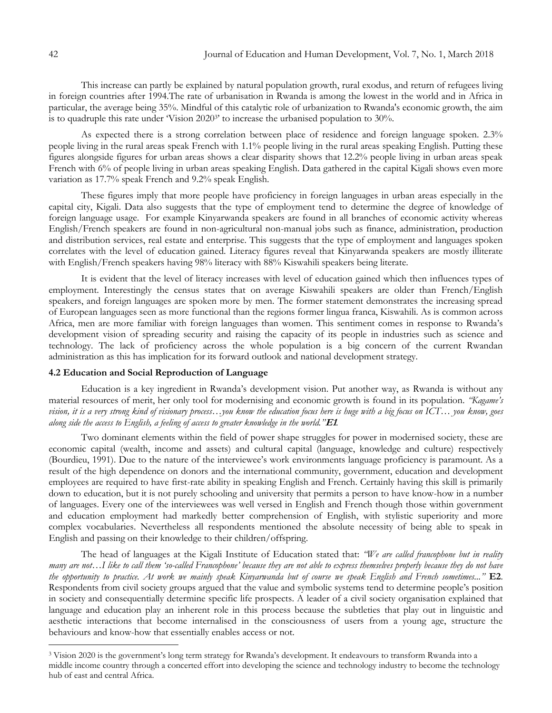This increase can partly be explained by natural population growth, rural exodus, and return of refugees living in foreign countries after 1994.The rate of urbanisation in Rwanda is among the lowest in the world and in Africa in particular, the average being 35%. Mindful of this catalytic role of urbanization to Rwanda's economic growth, the aim is to quadruple this rate under Vision 2020<sup>3</sup> to increase the urbanised population to 30%.

As expected there is a strong correlation between place of residence and foreign language spoken. 2.3% people living in the rural areas speak French with 1.1% people living in the rural areas speaking English. Putting these figures alongside figures for urban areas shows a clear disparity shows that 12.2% people living in urban areas speak French with 6% of people living in urban areas speaking English. Data gathered in the capital Kigali shows even more variation as 17.7% speak French and 9.2% speak English.

These figures imply that more people have proficiency in foreign languages in urban areas especially in the capital city, Kigali. Data also suggests that the type of employment tend to determine the degree of knowledge of foreign language usage. For example Kinyarwanda speakers are found in all branches of economic activity whereas English/French speakers are found in non-agricultural non-manual jobs such as finance, administration, production and distribution services, real estate and enterprise. This suggests that the type of employment and languages spoken correlates with the level of education gained. Literacy figures reveal that Kinyarwanda speakers are mostly illiterate with English/French speakers having 98% literacy with 88% Kiswahili speakers being literate.

It is evident that the level of literacy increases with level of education gained which then influences types of employment. Interestingly the census states that on average Kiswahili speakers are older than French/English speakers, and foreign languages are spoken more by men. The former statement demonstrates the increasing spread of European languages seen as more functional than the regions former lingua franca, Kiswahili. As is common across Africa, men are more familiar with foreign languages than women. This sentiment comes in response to Rwanda"s development vision of spreading security and raising the capacity of its people in industries such as science and technology. The lack of proficiency across the whole population is a big concern of the current Rwandan administration as this has implication for its forward outlook and national development strategy.

### **4.2 Education and Social Reproduction of Language**

Education is a key ingredient in Rwanda"s development vision. Put another way, as Rwanda is without any material resources of merit, her only tool for modernising and economic growth is found in its population. *"Kagame"s vision, it is a very strong kind of visionary process…you know the education focus here is huge with a big focus on ICT… you know, goes along side the access to English, a feeling of access to greater knowledge in the world."***E1***.* 

Two dominant elements within the field of power shape struggles for power in modernised society, these are economic capital (wealth, income and assets) and cultural capital (language, knowledge and culture) respectively (Bourdieu, 1991). Due to the nature of the interviewee's work environments language proficiency is paramount. As a result of the high dependence on donors and the international community, government, education and development employees are required to have first-rate ability in speaking English and French. Certainly having this skill is primarily down to education, but it is not purely schooling and university that permits a person to have know-how in a number of languages. Every one of the interviewees was well versed in English and French though those within government and education employment had markedly better comprehension of English, with stylistic superiority and more complex vocabularies. Nevertheless all respondents mentioned the absolute necessity of being able to speak in English and passing on their knowledge to their children/offspring.

The head of languages at the Kigali Institute of Education stated that: *"We are called francophone but in reality many are not…I like to call them "so-called Francophone" because they are not able to express themselves properly because they do not have the opportunity to practice. At work we mainly speak Kinyarwanda but of course we speak English and French sometimes..."* **E2**. Respondents from civil society groups argued that the value and symbolic systems tend to determine people"s position in society and consequentially determine specific life prospects. A leader of a civil society organisation explained that language and education play an inherent role in this process because the subtleties that play out in linguistic and aesthetic interactions that become internalised in the consciousness of users from a young age, structure the behaviours and know-how that essentially enables access or not.

l

<sup>3</sup> Vision 2020 is the government"s long term strategy for Rwanda"s development. It endeavours to transform Rwanda into a middle income country through a concerted effort into developing the science and technology industry to become the technology hub of east and central Africa.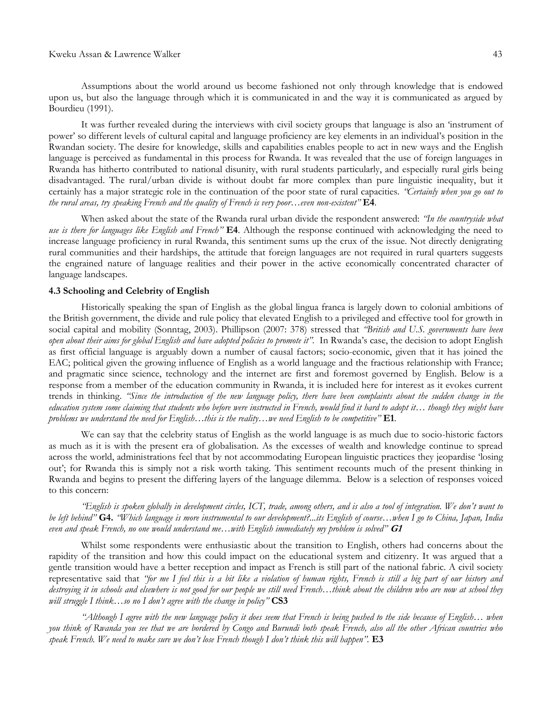Assumptions about the world around us become fashioned not only through knowledge that is endowed upon us, but also the language through which it is communicated in and the way it is communicated as argued by Bourdieu (1991).

It was further revealed during the interviews with civil society groups that language is also an "instrument of power" so different levels of cultural capital and language proficiency are key elements in an individual"s position in the Rwandan society. The desire for knowledge, skills and capabilities enables people to act in new ways and the English language is perceived as fundamental in this process for Rwanda. It was revealed that the use of foreign languages in Rwanda has hitherto contributed to national disunity, with rural students particularly, and especially rural girls being disadvantaged. The rural/urban divide is without doubt far more complex than pure linguistic inequality, but it certainly has a major strategic role in the continuation of the poor state of rural capacities. *"Certainly when you go out to the rural areas, try speaking French and the quality of French is very poor…even non-existent"* **E4**.

When asked about the state of the Rwanda rural urban divide the respondent answered: *"In the countryside what use is there for languages like English and French"* **E4**. Although the response continued with acknowledging the need to increase language proficiency in rural Rwanda, this sentiment sums up the crux of the issue. Not directly denigrating rural communities and their hardships, the attitude that foreign languages are not required in rural quarters suggests the engrained nature of language realities and their power in the active economically concentrated character of language landscapes.

#### **4.3 Schooling and Celebrity of English**

Historically speaking the span of English as the global lingua franca is largely down to colonial ambitions of the British government, the divide and rule policy that elevated English to a privileged and effective tool for growth in social capital and mobility (Sonntag, 2003). Phillipson (2007: 378) stressed that *"British and U.S. governments have been open about their aims for global English and have adopted policies to promote it".* In Rwanda"s case, the decision to adopt English as first official language is arguably down a number of causal factors; socio-economic, given that it has joined the EAC; political given the growing influence of English as a world language and the fractious relationship with France; and pragmatic since science, technology and the internet are first and foremost governed by English. Below is a response from a member of the education community in Rwanda, it is included here for interest as it evokes current trends in thinking. *"Since the introduction of the new language policy, there have been complaints about the sudden change in the education system some claiming that students who before were instructed in French, would find it hard to adopt it… though they might have problems we understand the need for English…this is the reality…we need English to be competitive"* **E1**.

We can say that the celebrity status of English as the world language is as much due to socio-historic factors as much as it is with the present era of globalisation. As the excesses of wealth and knowledge continue to spread across the world, administrations feel that by not accommodating European linguistic practices they jeopardise "losing out"; for Rwanda this is simply not a risk worth taking. This sentiment recounts much of the present thinking in Rwanda and begins to present the differing layers of the language dilemma. Below is a selection of responses voiced to this concern:

*"English is spoken globally in development circles, ICT, trade, among others, and is also a tool of integration. We don"t want to be left behind"* **G4.** *"Which language is more instrumental to our development?...its English of course…when I go to China, Japan, India even and speak French, no one would understand me…with English immediately my problem is solved"* **G1**

Whilst some respondents were enthusiastic about the transition to English, others had concerns about the rapidity of the transition and how this could impact on the educational system and citizenry. It was argued that a gentle transition would have a better reception and impact as French is still part of the national fabric. A civil society representative said that *"for me I feel this is a bit like a violation of human rights, French is still a big part of our history and destroying it in schools and elsewhere is not good for our people we still need French…think about the children who are now at school they will struggle I think…so no I don"t agree with the change in policy"* **CS3**

*"Although I agree with the new language policy it does seem that French is being pushed to the side because of English… when you think of Rwanda you see that we are bordered by Congo and Burundi both speak French, also all the other African countries who speak French. We need to make sure we don"t lose French though I don"t think this will happen".* **E3**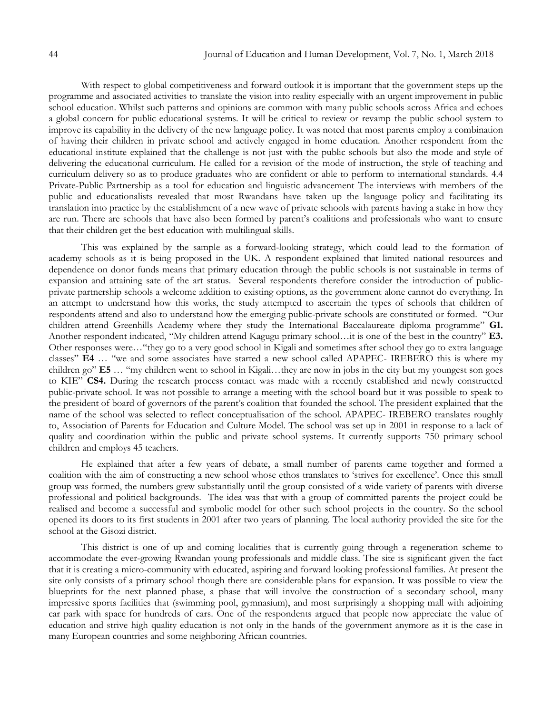With respect to global competitiveness and forward outlook it is important that the government steps up the programme and associated activities to translate the vision into reality especially with an urgent improvement in public school education. Whilst such patterns and opinions are common with many public schools across Africa and echoes a global concern for public educational systems. It will be critical to review or revamp the public school system to improve its capability in the delivery of the new language policy. It was noted that most parents employ a combination of having their children in private school and actively engaged in home education. Another respondent from the educational institute explained that the challenge is not just with the public schools but also the mode and style of delivering the educational curriculum. He called for a revision of the mode of instruction, the style of teaching and curriculum delivery so as to produce graduates who are confident or able to perform to international standards. 4.4 Private-Public Partnership as a tool for education and linguistic advancement The interviews with members of the public and educationalists revealed that most Rwandans have taken up the language policy and facilitating its translation into practice by the establishment of a new wave of private schools with parents having a stake in how they are run. There are schools that have also been formed by parent"s coalitions and professionals who want to ensure that their children get the best education with multilingual skills.

This was explained by the sample as a forward-looking strategy, which could lead to the formation of academy schools as it is being proposed in the UK. A respondent explained that limited national resources and dependence on donor funds means that primary education through the public schools is not sustainable in terms of expansion and attaining sate of the art status. Several respondents therefore consider the introduction of publicprivate partnership schools a welcome addition to existing options, as the government alone cannot do everything. In an attempt to understand how this works, the study attempted to ascertain the types of schools that children of respondents attend and also to understand how the emerging public-private schools are constituted or formed. "Our children attend Greenhills Academy where they study the International Baccalaureate diploma programme" **G1.**  Another respondent indicated, "My children attend Kagugu primary school…it is one of the best in the country" **E3.**  Other responses were…"they go to a very good school in Kigali and sometimes after school they go to extra language classes" **E4** … "we and some associates have started a new school called APAPEC- IREBERO this is where my children go" **E5** … "my children went to school in Kigali…they are now in jobs in the city but my youngest son goes to KIE" **CS4.** During the research process contact was made with a recently established and newly constructed public-private school. It was not possible to arrange a meeting with the school board but it was possible to speak to the president of board of governors of the parent"s coalition that founded the school. The president explained that the name of the school was selected to reflect conceptualisation of the school. APAPEC- IREBERO translates roughly to, Association of Parents for Education and Culture Model. The school was set up in 2001 in response to a lack of quality and coordination within the public and private school systems. It currently supports 750 primary school children and employs 45 teachers.

He explained that after a few years of debate, a small number of parents came together and formed a coalition with the aim of constructing a new school whose ethos translates to "strives for excellence". Once this small group was formed, the numbers grew substantially until the group consisted of a wide variety of parents with diverse professional and political backgrounds. The idea was that with a group of committed parents the project could be realised and become a successful and symbolic model for other such school projects in the country. So the school opened its doors to its first students in 2001 after two years of planning. The local authority provided the site for the school at the Gisozi district.

This district is one of up and coming localities that is currently going through a regeneration scheme to accommodate the ever-growing Rwandan young professionals and middle class. The site is significant given the fact that it is creating a micro-community with educated, aspiring and forward looking professional families. At present the site only consists of a primary school though there are considerable plans for expansion. It was possible to view the blueprints for the next planned phase, a phase that will involve the construction of a secondary school, many impressive sports facilities that (swimming pool, gymnasium), and most surprisingly a shopping mall with adjoining car park with space for hundreds of cars. One of the respondents argued that people now appreciate the value of education and strive high quality education is not only in the hands of the government anymore as it is the case in many European countries and some neighboring African countries.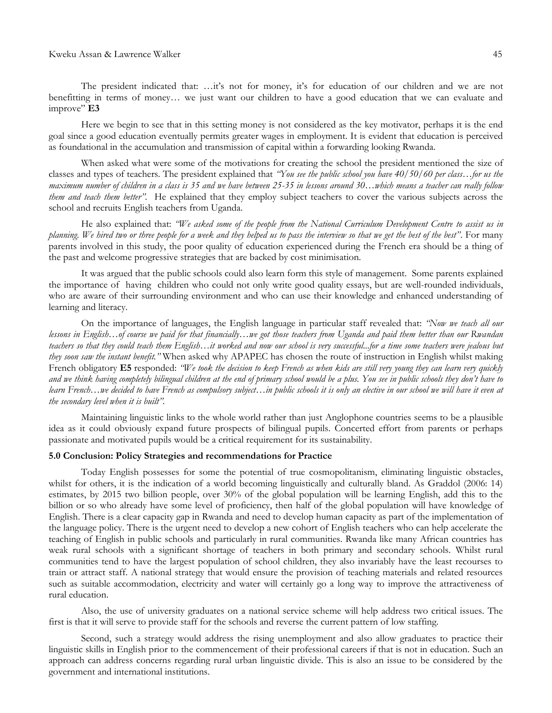The president indicated that: ...it's not for money, it's for education of our children and we are not benefitting in terms of money… we just want our children to have a good education that we can evaluate and improve" **E3**

Here we begin to see that in this setting money is not considered as the key motivator, perhaps it is the end goal since a good education eventually permits greater wages in employment. It is evident that education is perceived as foundational in the accumulation and transmission of capital within a forwarding looking Rwanda.

When asked what were some of the motivations for creating the school the president mentioned the size of classes and types of teachers. The president explained that *"You see the public school you have 40/50/60 per class…for us the maximum number of children in a class is 35 and we have between 25-35 in lessons around 30…which means a teacher can really follow them and teach them better".* He explained that they employ subject teachers to cover the various subjects across the school and recruits English teachers from Uganda.

He also explained that: *"We asked some of the people from the National Curriculum Development Centre to assist us in planning. We hired two or three people for a week and they helped us to pass the interview so that we get the best of the best".* For many parents involved in this study, the poor quality of education experienced during the French era should be a thing of the past and welcome progressive strategies that are backed by cost minimisation.

It was argued that the public schools could also learn form this style of management. Some parents explained the importance of having children who could not only write good quality essays, but are well-rounded individuals, who are aware of their surrounding environment and who can use their knowledge and enhanced understanding of learning and literacy.

On the importance of languages, the English language in particular staff revealed that: *"Now we teach all our lessons in English…of course we paid for that financially…we got those teachers from Uganda and paid them better than our Rwandan teachers so that they could teach them English…it worked and now our school is very successful...for a time some teachers were jealous but they soon saw the instant benefit."* When asked why APAPEC has chosen the route of instruction in English whilst making French obligatory **E5** responded: *"We took the decision to keep French as when kids are still very young they can learn very quickly and we think having completely bilingual children at the end of primary school would be a plus. You see in public schools they don"t have to learn French…we decided to have French as compulsory subject…in public schools it is only an elective in our school we will have it even at the secondary level when it is built".*

Maintaining linguistic links to the whole world rather than just Anglophone countries seems to be a plausible idea as it could obviously expand future prospects of bilingual pupils. Concerted effort from parents or perhaps passionate and motivated pupils would be a critical requirement for its sustainability.

## **5.0 Conclusion: Policy Strategies and recommendations for Practice**

Today English possesses for some the potential of true cosmopolitanism, eliminating linguistic obstacles, whilst for others, it is the indication of a world becoming linguistically and culturally bland. As Graddol (2006: 14) estimates, by 2015 two billion people, over 30% of the global population will be learning English, add this to the billion or so who already have some level of proficiency, then half of the global population will have knowledge of English. There is a clear capacity gap in Rwanda and need to develop human capacity as part of the implementation of the language policy. There is the urgent need to develop a new cohort of English teachers who can help accelerate the teaching of English in public schools and particularly in rural communities. Rwanda like many African countries has weak rural schools with a significant shortage of teachers in both primary and secondary schools. Whilst rural communities tend to have the largest population of school children, they also invariably have the least recourses to train or attract staff. A national strategy that would ensure the provision of teaching materials and related resources such as suitable accommodation, electricity and water will certainly go a long way to improve the attractiveness of rural education.

Also, the use of university graduates on a national service scheme will help address two critical issues. The first is that it will serve to provide staff for the schools and reverse the current pattern of low staffing.

Second, such a strategy would address the rising unemployment and also allow graduates to practice their linguistic skills in English prior to the commencement of their professional careers if that is not in education. Such an approach can address concerns regarding rural urban linguistic divide. This is also an issue to be considered by the government and international institutions.